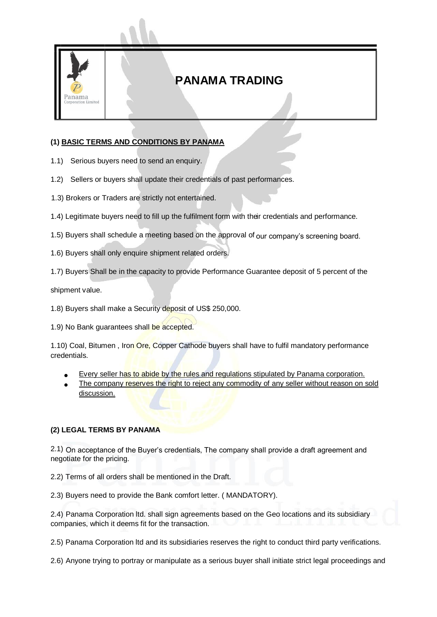

## **PANAMA TRADING**

## **(1) BASIC TERMS AND CONDITIONS BY PANAMA**

- 1.1) Serious buyers need to send an enquiry.
- 1.2) Sellers or buyers shall update their credentials of past performances.
- 1.3) Brokers or Traders are strictly not entertained.
- 1.4) Legitimate buyers need to fill up the fulfilment form with their credentials and performance.
- 1.5) Buyers shall schedule a meeting based on the approval of our company's screening board.
- 1.6) Buyers shall only enquire shipment related orders.
- 1.7) Buyers Shall be in the capacity to provide Performance Guarantee deposit of 5 percent of the

shipment value.

1.8) Buyers shall make a Security deposit of US\$ 250,000.

1.9) No Bank guarantees shall be accepted.

1.10) Coal, Bitumen, Iron Ore, Copper Cathode buyers shall have to fulfil mandatory performance credentials.

- Every seller has to abide by the rules and regulations stipulated by Panama corporation.
- The company reserves the right to reject any commodity of any seller without reason on sold discussion.

## **(2) LEGAL TERMS BY PANAMA**

2.1) On acceptance of the Buyer's credentials, The company shall provide a draft agreement and negotiate for the pricing.

2.2) Terms of all orders shall be mentioned in the Draft.

2.3) Buyers need to provide the Bank comfort letter. ( MANDATORY).

2.4) Panama Corporation ltd. shall sign agreements based on the Geo locations and its subsidiary companies, which it deems fit for the transaction.

2.5) Panama Corporation ltd and its subsidiaries reserves the right to conduct third party verifications.

2.6) Anyone trying to portray or manipulate as a serious buyer shall initiate strict legal proceedings and